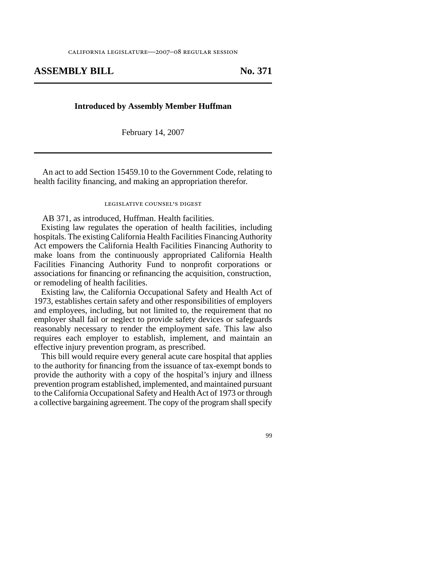## **ASSEMBLY BILL No. 371**

## **Introduced by Assembly Member Huffman**

February 14, 2007

An act to add Section 15459.10 to the Government Code, relating to health facility financing, and making an appropriation therefor.

## legislative counsel' s digest

AB 371, as introduced, Huffman. Health facilities.

Existing law regulates the operation of health facilities, including hospitals. The existing California Health Facilities Financing Authority Act empowers the California Health Facilities Financing Authority to make loans from the continuously appropriated California Health Facilities Financing Authority Fund to nonprofit corporations or associations for financing or refinancing the acquisition, construction, or remodeling of health facilities.

Existing law, the California Occupational Safety and Health Act of 1973, establishes certain safety and other responsibilities of employers and employees, including, but not limited to, the requirement that no employer shall fail or neglect to provide safety devices or safeguards reasonably necessary to render the employment safe. This law also requires each employer to establish, implement, and maintain an effective injury prevention program, as prescribed.

This bill would require every general acute care hospital that applies to the authority for financing from the issuance of tax-exempt bonds to provide the authority with a copy of the hospital's injury and illness prevention program established, implemented, and maintained pursuant to the California Occupational Safety and Health Act of 1973 or through a collective bargaining agreement. The copy of the program shall specify

99